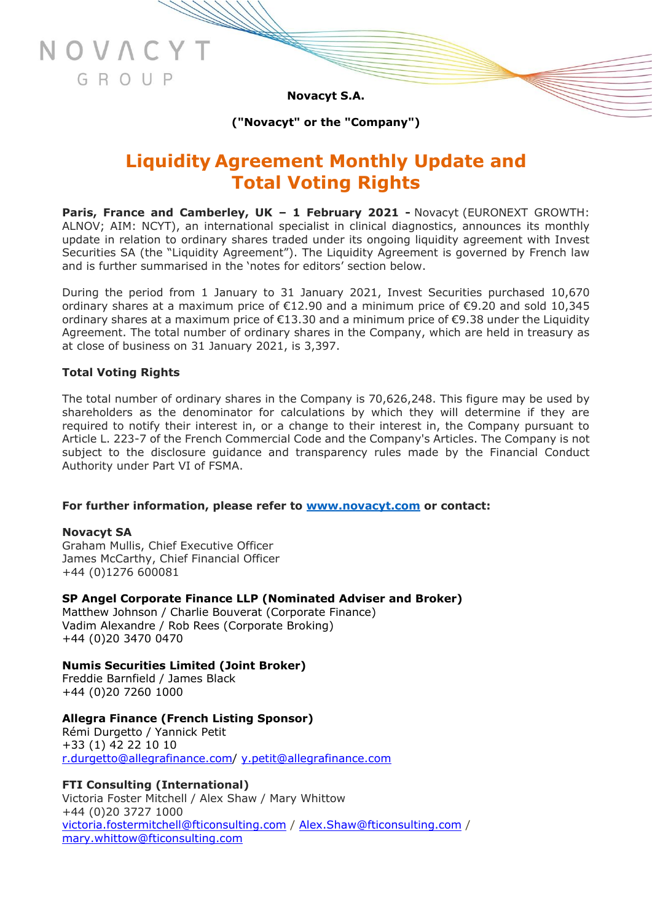**Novacyt S.A.**

**("Novacyt" or the "Company")**

# **Liquidity Agreement Monthly Update and Total Voting Rights**

**Paris, France and Camberley, UK – 1 February 2021 -** Novacyt (EURONEXT GROWTH: ALNOV; AIM: NCYT), an international specialist in clinical diagnostics, announces its monthly update in relation to ordinary shares traded under its ongoing liquidity agreement with Invest Securities SA (the "Liquidity Agreement"). The Liquidity Agreement is governed by French law and is further summarised in the 'notes for editors' section below.

During the period from 1 January to 31 January 2021, Invest Securities purchased 10,670 ordinary shares at a maximum price of €12.90 and a minimum price of €9.20 and sold 10,345 ordinary shares at a maximum price of €13.30 and a minimum price of €9.38 under the Liquidity Agreement. The total number of ordinary shares in the Company, which are held in treasury as at close of business on 31 January 2021, is 3,397.

#### **Total Voting Rights**

NOVAC

GROUP

The total number of ordinary shares in the Company is 70,626,248. This figure may be used by shareholders as the denominator for calculations by which they will determine if they are required to notify their interest in, or a change to their interest in, the Company pursuant to Article L. 223-7 of the French Commercial Code and the Company's Articles. The Company is not subject to the disclosure guidance and transparency rules made by the Financial Conduct Authority under Part VI of FSMA.

#### **For further information, please refer to [www.novacyt.com](http://www.novacyt.com/) or contact:**

#### **Novacyt SA**

Graham Mullis, Chief Executive Officer James McCarthy, Chief Financial Officer +44 (0)1276 600081

#### **SP Angel Corporate Finance LLP (Nominated Adviser and Broker)**

Matthew Johnson / Charlie Bouverat (Corporate Finance) Vadim Alexandre / Rob Rees (Corporate Broking) +44 (0)20 3470 0470

# **Numis Securities Limited (Joint Broker)**

Freddie Barnfield / James Black +44 (0)20 7260 1000

# **Allegra Finance (French Listing Sponsor)**

Rémi Durgetto / Yannick Petit +33 (1) 42 22 10 10 [r.durgetto@allegrafinance.com/](mailto:r.durgetto@allegrafinance.com) [y.petit@allegrafinance.com](mailto:y.petit@allegrafinance.com)

**FTI Consulting (International)** Victoria Foster Mitchell / Alex Shaw / Mary Whittow +44 (0)20 3727 1000 [victoria.fostermitchell@fticonsulting.com](mailto:victoria.fostermitchell@fticonsulting.com) / [Alex.Shaw@fticonsulting.com](mailto:Alex.Shaw@fticonsulting.com) / [mary.whittow@fticonsulting.com](mailto:mary.whittow@fticonsulting.com)